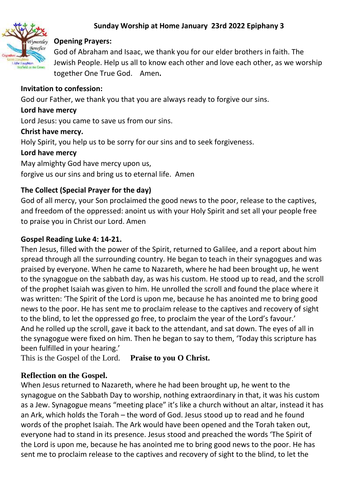## **Sunday Worship at Home January 23rd 2022 Epiphany 3**



### **Opening Prayers:**

God of Abraham and Isaac, we thank you for our elder brothers in faith. The Jewish People. Help us all to know each other and love each other, as we worship together One True God. Amen**.**

### **Invitation to confession:**

God our Father, we thank you that you are always ready to forgive our sins.

### **Lord have mercy**

Lord Jesus: you came to save us from our sins.

### **Christ have mercy.**

Holy Spirit, you help us to be sorry for our sins and to seek forgiveness.

### **Lord have mercy**

May almighty God have mercy upon us,

forgive us our sins and bring us to eternal life. Amen

## **The Collect (Special Prayer for the day)**

God of all mercy, your Son proclaimed the good news to the poor, release to the captives, and freedom of the oppressed: anoint us with your Holy Spirit and set all your people free to praise you in Christ our Lord. Amen

## **Gospel Reading Luke 4: 14-21.**

Then Jesus, filled with the power of the Spirit, returned to Galilee, and a report about him spread through all the surrounding country. He began to teach in their synagogues and was praised by everyone. When he came to Nazareth, where he had been brought up, he went to the synagogue on the sabbath day, as was his custom. He stood up to read, and the scroll of the prophet Isaiah was given to him. He unrolled the scroll and found the place where it was written: 'The Spirit of the Lord is upon me, because he has anointed me to bring good news to the poor. He has sent me to proclaim release to the captives and recovery of sight to the blind, to let the oppressed go free, to proclaim the year of the Lord's favour.' And he rolled up the scroll, gave it back to the attendant, and sat down. The eyes of all in the synagogue were fixed on him. Then he began to say to them, 'Today this scripture has been fulfilled in your hearing.'

This is the Gospel of the Lord. **Praise to you O Christ.** 

# **Reflection on the Gospel.**

When Jesus returned to Nazareth, where he had been brought up, he went to the synagogue on the Sabbath Day to worship, nothing extraordinary in that, it was his custom as a Jew. Synagogue means "meeting place" it's like a church without an altar, instead it has an Ark, which holds the Torah – the word of God. Jesus stood up to read and he found words of the prophet Isaiah. The Ark would have been opened and the Torah taken out, everyone had to stand in its presence. Jesus stood and preached the words 'The Spirit of the Lord is upon me, because he has anointed me to bring good news to the poor. He has sent me to proclaim release to the captives and recovery of sight to the blind, to let the